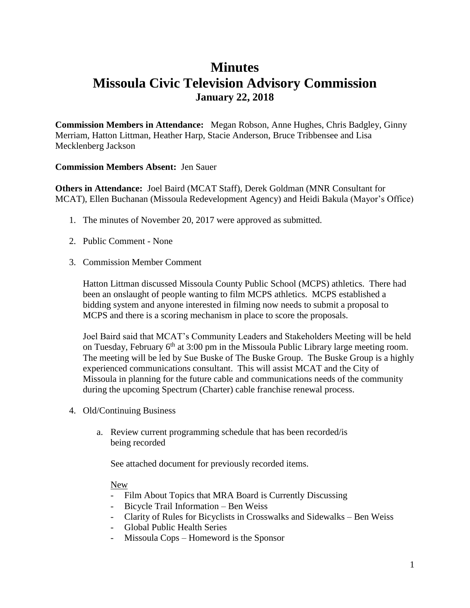# **Minutes Missoula Civic Television Advisory Commission January 22, 2018**

**Commission Members in Attendance:** Megan Robson, Anne Hughes, Chris Badgley, Ginny Merriam, Hatton Littman, Heather Harp, Stacie Anderson, Bruce Tribbensee and Lisa Mecklenberg Jackson

### **Commission Members Absent:** Jen Sauer

**Others in Attendance:** Joel Baird (MCAT Staff), Derek Goldman (MNR Consultant for MCAT), Ellen Buchanan (Missoula Redevelopment Agency) and Heidi Bakula (Mayor's Office)

- 1. The minutes of November 20, 2017 were approved as submitted.
- 2. Public Comment None
- 3. Commission Member Comment

Hatton Littman discussed Missoula County Public School (MCPS) athletics. There had been an onslaught of people wanting to film MCPS athletics. MCPS established a bidding system and anyone interested in filming now needs to submit a proposal to MCPS and there is a scoring mechanism in place to score the proposals.

Joel Baird said that MCAT's Community Leaders and Stakeholders Meeting will be held on Tuesday, February  $6<sup>th</sup>$  at 3:00 pm in the Missoula Public Library large meeting room. The meeting will be led by Sue Buske of The Buske Group. The Buske Group is a highly experienced communications consultant. This will assist MCAT and the City of Missoula in planning for the future cable and communications needs of the community during the upcoming Spectrum (Charter) cable franchise renewal process.

- 4. Old/Continuing Business
	- a. Review current programming schedule that has been recorded/is being recorded

See attached document for previously recorded items.

### New

- Film About Topics that MRA Board is Currently Discussing
- Bicycle Trail Information Ben Weiss
- Clarity of Rules for Bicyclists in Crosswalks and Sidewalks Ben Weiss
- Global Public Health Series
- Missoula Cops Homeword is the Sponsor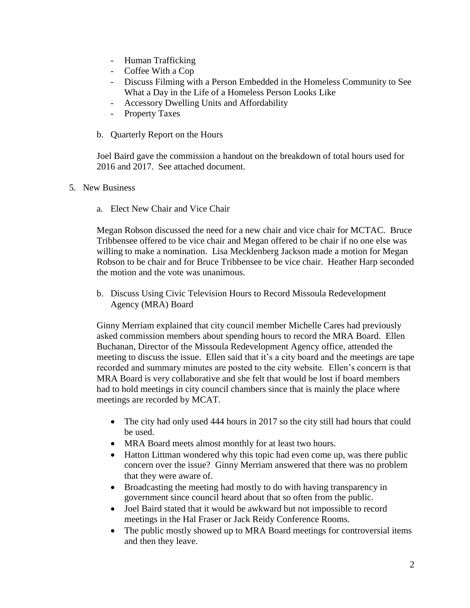- Human Trafficking
- Coffee With a Cop
- Discuss Filming with a Person Embedded in the Homeless Community to See What a Day in the Life of a Homeless Person Looks Like
- Accessory Dwelling Units and Affordability
- Property Taxes
- b. Quarterly Report on the Hours

Joel Baird gave the commission a handout on the breakdown of total hours used for 2016 and 2017. See attached document.

- 5. New Business
	- a. Elect New Chair and Vice Chair

Megan Robson discussed the need for a new chair and vice chair for MCTAC. Bruce Tribbensee offered to be vice chair and Megan offered to be chair if no one else was willing to make a nomination. Lisa Mecklenberg Jackson made a motion for Megan Robson to be chair and for Bruce Tribbensee to be vice chair. Heather Harp seconded the motion and the vote was unanimous.

b. Discuss Using Civic Television Hours to Record Missoula Redevelopment Agency (MRA) Board

Ginny Merriam explained that city council member Michelle Cares had previously asked commission members about spending hours to record the MRA Board. Ellen Buchanan, Director of the Missoula Redevelopment Agency office, attended the meeting to discuss the issue. Ellen said that it's a city board and the meetings are tape recorded and summary minutes are posted to the city website. Ellen's concern is that MRA Board is very collaborative and she felt that would be lost if board members had to hold meetings in city council chambers since that is mainly the place where meetings are recorded by MCAT.

- The city had only used 444 hours in 2017 so the city still had hours that could be used.
- MRA Board meets almost monthly for at least two hours.
- Hatton Littman wondered why this topic had even come up, was there public concern over the issue? Ginny Merriam answered that there was no problem that they were aware of.
- Broadcasting the meeting had mostly to do with having transparency in government since council heard about that so often from the public.
- Joel Baird stated that it would be awkward but not impossible to record meetings in the Hal Fraser or Jack Reidy Conference Rooms.
- The public mostly showed up to MRA Board meetings for controversial items and then they leave.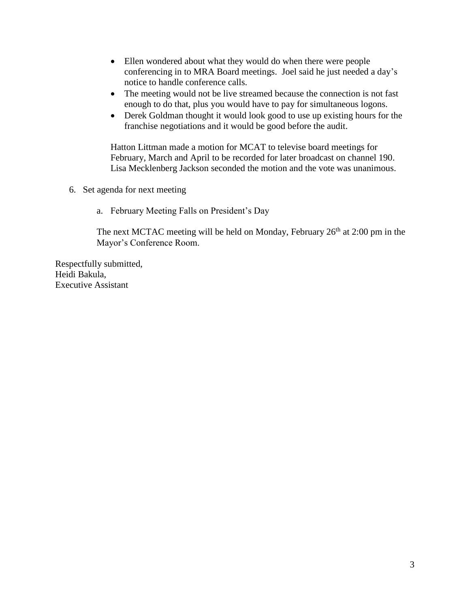- Ellen wondered about what they would do when there were people conferencing in to MRA Board meetings. Joel said he just needed a day's notice to handle conference calls.
- The meeting would not be live streamed because the connection is not fast enough to do that, plus you would have to pay for simultaneous logons.
- Derek Goldman thought it would look good to use up existing hours for the franchise negotiations and it would be good before the audit.

Hatton Littman made a motion for MCAT to televise board meetings for February, March and April to be recorded for later broadcast on channel 190. Lisa Mecklenberg Jackson seconded the motion and the vote was unanimous.

- 6. Set agenda for next meeting
	- a. February Meeting Falls on President's Day

The next MCTAC meeting will be held on Monday, February  $26<sup>th</sup>$  at 2:00 pm in the Mayor's Conference Room.

Respectfully submitted, Heidi Bakula, Executive Assistant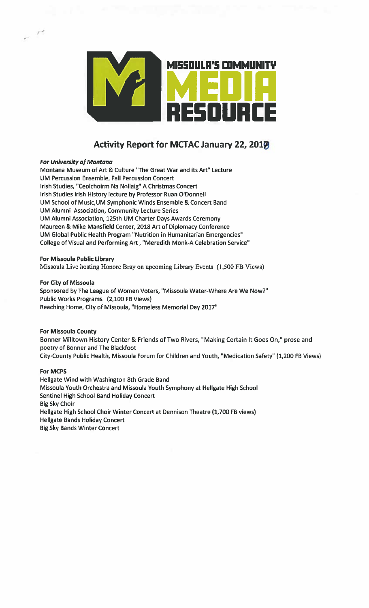

# **Activity Report for MCTAC January 22, 2017**

#### **For University of Montana**

Montana Museum of Art & Culture "The Great War and its Art" Lecture UM Percussion Ensemble, Fall Percussion Concert Irish Studies, "Ceolchoirm Na Nollaig" A Christmas Concert Irish Studies Irish History lecture by Professor Ruan O'Donnell UM School of Music, UM Symphonic Winds Ensemble & Concert Band UM Alumni Association, Community Lecture Series UM Alumni Association, 125th UM Charter Days Awards Ceremony Maureen & Mike Mansfield Center, 2018 Art of Diplomacy Conference UM Global Public Health Program "Nutrition in Humanitarian Emergencies" College of Visual and Performing Art, "Meredith Monk-A Celebration Service"

For Missoula Public Library

Missoula Live hosting Honore Bray on upcoming Library Events (1,500 FB Views)

#### For City of Missoula

Sponsored by The League of Women Voters, "Missoula Water-Where Are We Now?" Public Works Programs (2,100 FB Views) Reaching Home, City of Missoula, "Homeless Memorial Day 2017"

## **For Missoula County**

Bonner Milltown History Center & Friends of Two Rivers, "Making Certain It Goes On," prose and poetry of Bonner and The Blackfoot City-County Public Health, Missoula Forum for Children and Youth, "Medication Safety" (1,200 FB Views)

#### **For MCPS**

Hellgate Wind with Washington 8th Grade Band Missoula Youth Orchestra and Missoula Youth Symphony at Hellgate High School Sentinel High School Band Holiday Concert **Big Sky Choir** Hellgate High School Choir Winter Concert at Dennison Theatre (1,700 FB views) **Hellgate Bands Holiday Concert Big Sky Bands Winter Concert**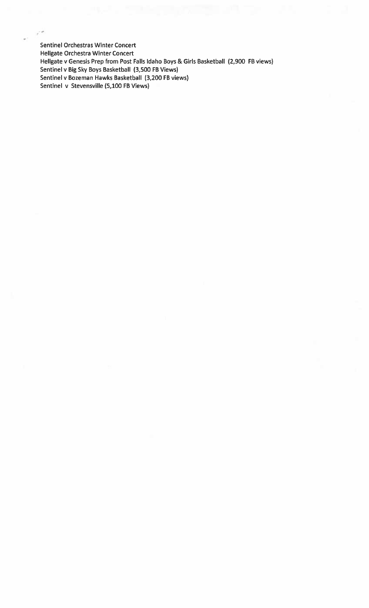**Sentinel Orchestras Winter Concert Hellgate Orchestra Winter Concert** Hellgate v Genesis Prep from Post Falls Idaho Boys & Girls Basketball (2,900 FB views) Sentinel v Big Sky Boys Basketball (3,500 FB Views) Sentinel v Bozeman Hawks Basketball (3,200 FB views) Sentinel v Stevensville (5,100 FB Views)

 $\mathcal{F}^{\mu\nu}$